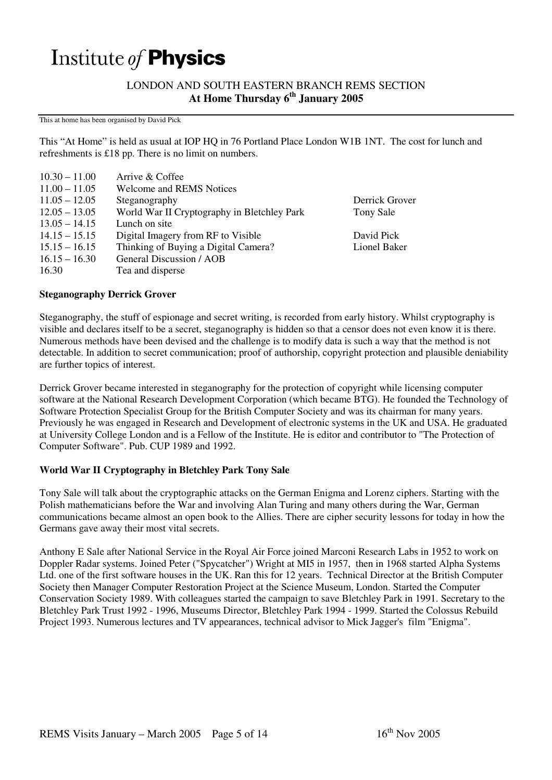# Institute of Physics

LONDON AND SOUTH EASTERN BRANCH REMS SECTION **At Home Thursday 6th January 2005** 

This at home has been organised by David Pick

This "At Home" is held as usual at IOP HQ in 76 Portland Place London W1B 1NT. The cost for lunch and refreshments is £18 pp. There is no limit on numbers.

| $10.30 - 11.00$ | Arrive & Coffee                             |                |
|-----------------|---------------------------------------------|----------------|
| $11.00 - 11.05$ | <b>Welcome and REMS Notices</b>             |                |
| $11.05 - 12.05$ | Steganography                               | Derrick Grover |
| $12.05 - 13.05$ | World War II Cryptography in Bletchley Park | Tony Sale      |
| $13.05 - 14.15$ | Lunch on site                               |                |
| $14.15 - 15.15$ | Digital Imagery from RF to Visible          | David Pick     |
| $15.15 - 16.15$ | Thinking of Buying a Digital Camera?        | Lionel Baker   |
| $16.15 - 16.30$ | General Discussion / AOB                    |                |
| 16.30           | Tea and disperse                            |                |

### **Steganography Derrick Grover**

Steganography, the stuff of espionage and secret writing, is recorded from early history. Whilst cryptography is visible and declares itself to be a secret, steganography is hidden so that a censor does not even know it is there. Numerous methods have been devised and the challenge is to modify data is such a way that the method is not detectable. In addition to secret communication; proof of authorship, copyright protection and plausible deniability are further topics of interest.

Derrick Grover became interested in steganography for the protection of copyright while licensing computer software at the National Research Development Corporation (which became BTG). He founded the Technology of Software Protection Specialist Group for the British Computer Society and was its chairman for many years. Previously he was engaged in Research and Development of electronic systems in the UK and USA. He graduated at University College London and is a Fellow of the Institute. He is editor and contributor to "The Protection of Computer Software". Pub. CUP 1989 and 1992.

# **World War II Cryptography in Bletchley Park Tony Sale**

Tony Sale will talk about the cryptographic attacks on the German Enigma and Lorenz ciphers. Starting with the Polish mathematicians before the War and involving Alan Turing and many others during the War, German communications became almost an open book to the Allies. There are cipher security lessons for today in how the Germans gave away their most vital secrets.

Anthony E Sale after National Service in the Royal Air Force joined Marconi Research Labs in 1952 to work on Doppler Radar systems. Joined Peter ("Spycatcher") Wright at MI5 in 1957, then in 1968 started Alpha Systems Ltd. one of the first software houses in the UK. Ran this for 12 years. Technical Director at the British Computer Society then Manager Computer Restoration Project at the Science Museum, London. Started the Computer Conservation Society 1989. With colleagues started the campaign to save Bletchley Park in 1991. Secretary to the Bletchley Park Trust 1992 - 1996, Museums Director, Bletchley Park 1994 - 1999. Started the Colossus Rebuild Project 1993. Numerous lectures and TV appearances, technical advisor to Mick Jagger's film "Enigma".